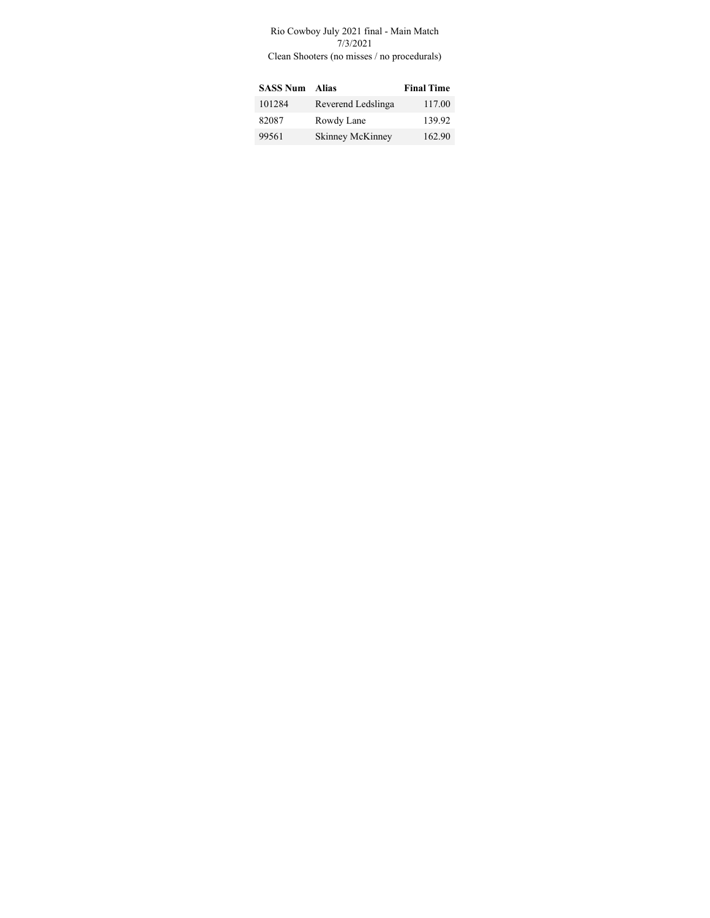## Rio Cowboy July 2021 final - Main Match 7/3/2021

Clean Shooters (no misses / no procedurals)

| <b>SASS Num</b> | Alias              | <b>Final Time</b> |
|-----------------|--------------------|-------------------|
| 101284          | Reverend Ledslinga | 117.00            |
| 82087           | Rowdy Lane         | 139.92            |
| 99561           | Skinney McKinney   | 162.90            |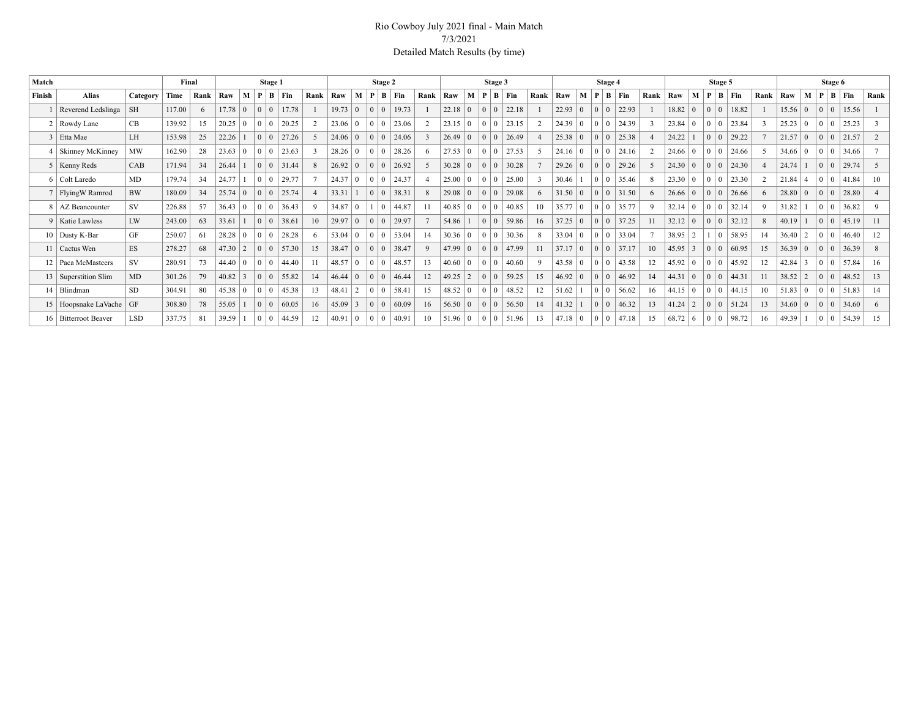## Rio Cowboy July 2021 final - Main Match 7/3/2021 Detailed Match Results (by time)

| Match  |                        |                 | Final  |      |       |              |                                  | Stage 1       |                 |                |                 |                | Stage 2        |       |      |                   |                |                 | Stage 3        |           |                |                |                 | Stage 4        |                         |                |                   |                 |                 | Stage 5         |                       |      |                |                 |                                        | Stage 6  |       |                |
|--------|------------------------|-----------------|--------|------|-------|--------------|----------------------------------|---------------|-----------------|----------------|-----------------|----------------|----------------|-------|------|-------------------|----------------|-----------------|----------------|-----------|----------------|----------------|-----------------|----------------|-------------------------|----------------|-------------------|-----------------|-----------------|-----------------|-----------------------|------|----------------|-----------------|----------------------------------------|----------|-------|----------------|
| Finish | <b>Alias</b>           | <b>Category</b> | Time   | Rank | Raw   | М            |                                  | $P$   B   Fin | Rank            | Raw            | М               | P              | B              | Fin   | Rank | Raw               | M              | P               |                | $B$   Fin | Rank           | Raw            | M               | P              | $B \mid Fin$            | Rank           | Raw               | M               |                 |                 | $P$ B Fin             | Rank | Raw            | M               | P                                      | <b>B</b> | Fin   | Rank           |
|        | Reverend Ledslinga     | <b>SH</b>       | 117.00 | 6    | 17.78 | $\mathbf{0}$ | 0 <sup>10</sup>                  | 17.78         |                 | $19.73 \mid 0$ |                 | $\Omega$       | $\overline{0}$ | 19.73 |      | 22.18             | $\overline{0}$ | $\overline{0}$  | $\overline{0}$ | 22.18     |                | 22.93          | $\vert 0 \vert$ | $\Omega$       | 22.93                   |                | 18.82             | $\overline{0}$  | 0 <sup>10</sup> |                 | 18.82                 |      | 15.56          | $\Omega$        | $\begin{array}{c c} 0 & 0 \end{array}$ |          | 15.56 |                |
|        | 2 Rowdy Lane           | CB              | 139.92 | 15   | 20.25 |              | $\epsilon$<br>$\Omega$           | 20.25         | 2               | 23.06          | $\overline{0}$  | $\Omega$       | $\Omega$       | 23.06 |      | $23.15 \mid 0$    |                | - 0             | ΙO             | 23.15     | $\overline{2}$ | $2439$ 0       |                 | $\Omega$       | 24.39                   | $\mathcal{L}$  | 23.84             | $\Omega$        | 0 <sup>10</sup> |                 | 23.84                 |      | 25.23          |                 | 0 <sup>1</sup>                         |          | 25.23 |                |
|        | 3 Etta Mae             | LH              | 153.98 | 25   | 22.26 |              | $\Omega$                         | 27.26         | 5               | 24.06          | $\overline{0}$  | $\Omega$       | $\Omega$       | 24.06 |      | 26.49             | $\overline{0}$ | $\overline{0}$  | $\perp$ 0      | 26.49     | $\overline{A}$ | $25.38 \mid 0$ |                 | $\theta$       | 25.38                   | $\overline{4}$ | 24.22             |                 | 0 <sup>10</sup> |                 | 29.22                 |      | 21.57          | $\Omega$        | $0\mid 0$                              |          | 21.57 |                |
|        | 4   Skinney McKinney   | MW              | 162.90 | 28   | 23.63 |              |                                  | 23.63         |                 | 28.26          | $\overline{0}$  | $\Omega$       |                | 28.26 |      | $27.53 \mid 0$    |                | $\Omega$        | $\perp$ 0      | 27.53     |                | $24.16 \mid 0$ |                 | $\theta$       | 24.16                   | $\overline{2}$ | 24.66             | $\theta$        | 0 <sup>10</sup> |                 | 24.66                 |      | 34.66          |                 | $0\mid 0$                              |          | 34.66 |                |
|        | 5   Kenny Reds         | CAB             | 171.94 | 34   | 26.44 |              |                                  | 31.44         | 8               | 26.92 0        |                 | $\Omega$       | $\theta$       | 26.92 |      | 30.28             | $\overline{0}$ | $\overline{0}$  |                | 30.28     |                | $29.26 \mid 0$ |                 | $\Omega$       | 29.26                   | .5             | 24.30             | $\Omega$        | 0 <sup>1</sup>  |                 | 24.30                 |      | 24.74          |                 | $0 \mid 0$                             |          | 29.74 | $\overline{5}$ |
|        | 6 Colt Laredo          | MD              | 179.74 | 34   | 24.77 |              |                                  | 29.77         |                 | 24.37          | $\Omega$        | $\Omega$       | $\Omega$       | 24.37 |      | 25.00             | $\overline{0}$ | - 0             |                | 25.00     | $\overline{3}$ | 30.46          |                 | $\theta$       | 35.46                   | 8              | 23.30             | $\theta$        | 0 <sup>10</sup> |                 | 23.30                 |      | 21.84          |                 | 0 <sup>1</sup>                         |          | 41.84 |                |
|        | 7 Flying W Ramrod      | <b>BW</b>       | 180.09 | 34   | 25.74 |              | $\Omega$                         | 25.74         |                 | 33.31          |                 | $\overline{0}$ | $\overline{0}$ | 38.31 |      | 29.08             | $\overline{0}$ | $\overline{0}$  |                | 29.08     | 6              | $31.50 \mid 0$ |                 | $\Omega$       | 31.50                   | 6              | 26.66             | $\Omega$        | 0 <sup>1</sup>  |                 | 26.66                 | 6    | 28.80          |                 | $0 \mid 0$                             |          | 28.80 |                |
|        | 8   AZ Beancounter     | <b>SV</b>       | 226.88 | 57   | 36.43 |              | $\overline{0}$<br>$\Omega$       | 36.43         | 9               | 34.87          |                 |                |                | 44.87 | -11  | $40.85 \mid 0$    |                | $\Omega$        | $\overline{0}$ | 40.85     | 10             | 35.77          | $\overline{0}$  | $\Omega$       | 35.77                   | 9              | 32.14             | $\Omega$        |                 |                 | 0 0 32.14             |      | 31.82          |                 | 0 <sup>1</sup>                         |          | 36.82 |                |
|        | 9   Katie Lawless      | LW              | 243.00 | 63   | 33.61 |              | 0 <sup>10</sup>                  | 38.61         | 10              | 29.97          | $\overline{0}$  | $\Omega$       | $\Omega$       | 29.97 |      | 54.86             |                | 0 <sup>1</sup>  |                | 59.86     | 16             | $37.25 \mid 0$ |                 |                | 37.25<br>0 <sup>1</sup> | 11             | $32.12 \mid 0$    |                 |                 |                 | 0 0 32.12             |      | 40.19          |                 | $0 \mid 0$                             |          | 45.19 | 11             |
|        | 10   Dusty K-Bar       | GF              | 250.07 | 61   | 28.28 |              | l 0<br>$\eta$                    | 28.28         | 6               | 53.04          | $\overline{0}$  | $\Omega$       | $^+$ 0         | 53.04 | 14   | 30.36             | $\overline{0}$ | - 0             |                | 30.36     | 8              | $33.04 \mid 0$ |                 | $\Omega$       | 33.04                   |                | 38.95             | $\overline{2}$  |                 | $\vert 0 \vert$ | 58.95                 | 14   | 36.40          | $\overline{2}$  | $0 \mid 0$                             |          | 46.40 | 12             |
|        | 11 Cactus Wen          | ES              | 278.27 | 68   | 47.30 | 2            | 0 <sup>10</sup>                  | 57.30         | 15              | 38.47          | $\vert 0 \vert$ | $\Omega$       | $\overline{0}$ | 38.47 | 9    | $47.99 \mid 0$    |                | $\overline{0}$  | $\vert 0$      | 47.99     |                | 37.17          | $\vert 0 \vert$ | $\overline{0}$ | 37.17                   | 10             | $45.95 \mid 3$    |                 |                 |                 | $0 \mid 0 \mid 60.95$ | 15   | 36.39          | $\overline{0}$  | 0 <sup>1</sup>                         |          | 36.39 |                |
|        | 12   Paca McMasteers   | <b>SV</b>       | 280.91 | 73   | 44.40 | $\Omega$     | $\overline{0}$<br>$\overline{0}$ | 44.40         | 11              | 48.57          | $\overline{0}$  | $\Omega$       | $\Omega$       | 48.57 | 13   | $40.60 \,   \, 0$ |                | 0 <sup>10</sup> |                | 40.60     | 9              | $43.58 \mid 0$ |                 | $\Omega$       | 43.58                   | 12             | $45.92 \,   \, 0$ |                 | 0 <sup>10</sup> |                 | 45.92                 | 12   | 42.84          | $\mathcal{R}$   | 0 <sup>1</sup>                         |          | 57.84 | 16             |
|        | 13   Superstition Slim | MD              | 301.26 | 79   | 40.82 |              | $\Omega$                         | 55.82         | 14              | $46.44 \mid 0$ |                 |                | 0 <sup>0</sup> | 46.44 | 12   | 49.25             | 2              | 0 <sup>10</sup> |                | 59.25     | 15             | $46.92 \mid 0$ |                 | $\Omega$       | 46.92                   | 14             | 44.31             | $\overline{0}$  |                 |                 | 0 0 44.31             | 11   | 38.52          | $\vert 2 \vert$ | $0 \mid 0$                             |          | 48.52 | 13             |
|        | 14   Blindman          | <b>SD</b>       | 304.91 | 80   | 45.38 |              | $\vert 0$<br>$\Omega$            | 45.38         | 13              | 48.41          | $\vert 2 \vert$ | $\Omega$       | $\overline{0}$ | 58.41 | 15   | 48.52   0         |                | 0 <sup>10</sup> |                | 48.52     | 12             | 51.62          |                 | $\bf{0}$       | 56.62                   | 16             | 44.15             | $\overline{0}$  |                 |                 | 0 0 44.15             | 10   | 51.83          |                 | $\vert 0 \vert 0 \vert$                |          | 51.83 | 14             |
|        | 15   Hoopsnake LaVache | GF              | 308.80 | 78   | 55.05 |              | $\Omega$<br>$\perp$ 0            | 60.05         | 16              | 45.09          | $\vert$ 3       |                | 0 <sup>1</sup> | 60.09 | 16   | $56.50 \mid 0$    |                | 0 <sup>1</sup>  |                | 56.50     | 14             | 41.32          |                 | $\overline{0}$ | 46.32                   | 13             | 41.24             | $\vert 2 \vert$ |                 |                 | 0 0 51.24             | 13   | $34.60 \mid 0$ |                 | $0 \mid 0$                             |          | 34.60 | 6              |
|        | 16   Bitterroot Beaver | <b>LSD</b>      | 337.75 | 81   | 39.59 |              | $\overline{0}$<br>$\Omega$       | 44.59         | 12 <sup>2</sup> | 40.91          | $\Omega$        | $\Omega$       | $\Omega$       | 40.91 | 10   | 51.96             | $\mathbf{0}$   | 0               | $\overline{0}$ | 51.96     | 13             | $47.18$ 0      |                 | $\Omega$       | 47.18                   | 15             | 68.72             | 6               | 0 <sup>10</sup> |                 | 98.72                 | 16   | 49.39          |                 | $0 \mid 0$                             |          | 54.39 | 15             |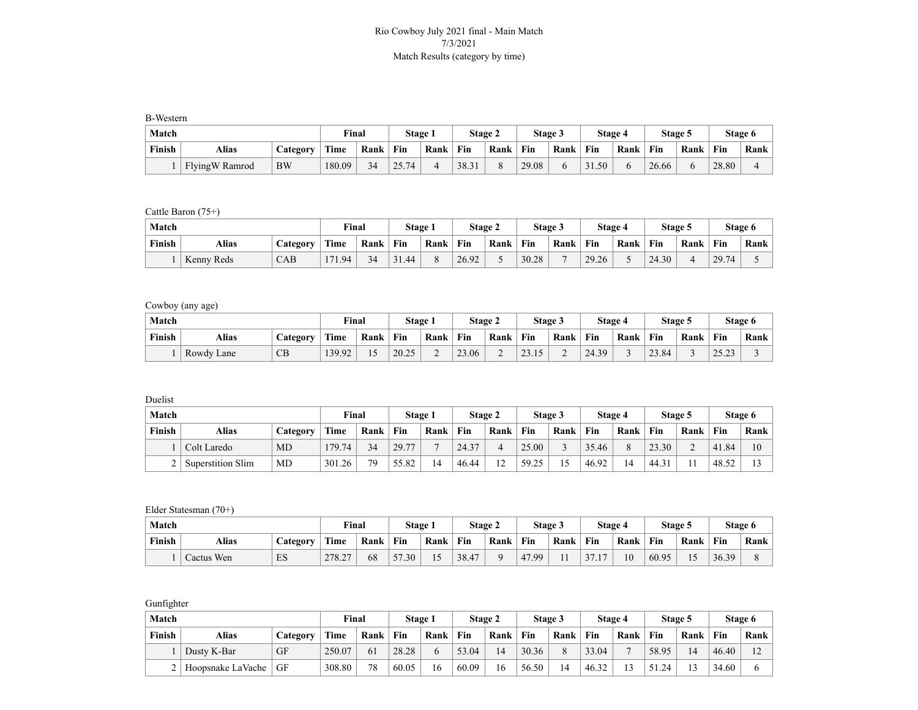## Rio Cowboy July 2021 final - Main Match 7/3/2021 Match Results (category by time)

B-Western

| Match  |                          |           | Final  |      |       | Stage 1 |       | Stage 2 |       | Stage 3 | Stage 4    |      | Stage 5 |      |       | Stage 6 |
|--------|--------------------------|-----------|--------|------|-------|---------|-------|---------|-------|---------|------------|------|---------|------|-------|---------|
| Finish | Alias<br><b>Category</b> |           | Time   | Rank | Fin   | Rank    | Fin   | Rank    | Fin   | Rank    | <b>Fin</b> | Rank | Fin     | Rank | Fin   | Rank    |
|        | Flying W Ramrod          | <b>BW</b> | 180.09 | 34   | 25.74 |         | 38.31 |         | 29.08 |         | 31.50      |      | 26.66   |      | 28.80 |         |

Cattle Baron (75+)

| Match  |                          |     | Final  |      | Stage 1 |      |       | Stage 2 |       | Stage 3 | Stage 4 |      | Stage 5 |      |       | Stage 6 |
|--------|--------------------------|-----|--------|------|---------|------|-------|---------|-------|---------|---------|------|---------|------|-------|---------|
| Finish | Alias<br><b>lategory</b> |     | Time   | Rank | Fin     | Rank | Fin   | Rank    | Fin   | Rank    | Fin     | Rank | Fin     | Rank | Fin   | Rank    |
|        | Kenny Reds               | CAB | 171.94 | 34   | 31.44   |      | 26.92 |         | 30.28 |         | 29.26   | ~    | 24.30   |      | 29.74 |         |

Cowboy (any age)

| Match  |                          |    | Final  |                   | Stage 1 |                |       | Stage 2 |               | Stage 3 | Stage 4 |      |       | Stage 5 |                 | Stage 6     |
|--------|--------------------------|----|--------|-------------------|---------|----------------|-------|---------|---------------|---------|---------|------|-------|---------|-----------------|-------------|
| Finish | Alias<br><b>lategory</b> |    | Time   | Rank              | Fin     | Rank           | Fin   | Rank    | Fin           | Rank    | Fin     | Rank | Fin   | Rank    | Fin             | $Rank \,  $ |
|        | Rowdy Lane               | CB | 139.92 | $\epsilon$<br>ı J | 20.25   | $\overline{ }$ | 23.06 | ∼       | 2215<br>23.15 | ∼       | 24.39   |      | 23.84 |         | 2522<br>ر ے. رے |             |

Duelist

| Match  |                   |          | Final  |      | Stage 1 |                             |       | Stage 2             |       | Stage 3    | Stage 4 |      |       | Stage 5 |       | Stage 6 |
|--------|-------------------|----------|--------|------|---------|-----------------------------|-------|---------------------|-------|------------|---------|------|-------|---------|-------|---------|
| Finish | Alias             | Category | Time   | Rank | Fin     | Rank                        | Fin   | Rank                | Fin   | Rank       | Fin     | Rank | Fin   | Rank    | Fin   | Rank    |
|        | Colt Laredo       | MD       | 179.74 | 34   | 29.77   |                             | 24.37 |                     | 25.00 |            | 35.46   |      | 23.30 |         | 41.84 | 10      |
| ∸      | Superstition Slim | MD       | 301.26 | 70   | 55.82   | $\boldsymbol{\vartriangle}$ | 46.44 | 1 <sub>2</sub><br>∸ | 59.25 | - 7<br>ر د | 46.92   | 14   | 44.31 |         | 48.52 |         |

Elder Statesman (70+)

| Match  |                          |    | Final  |      |       | Stage 1        |       | Stage 2 |       | Stage 3 | Stage 4                         |      |       | Stage 5 |       | Stage 6 |
|--------|--------------------------|----|--------|------|-------|----------------|-------|---------|-------|---------|---------------------------------|------|-------|---------|-------|---------|
| Finish | Alias<br><b>Category</b> |    | Time   | Rank | Fin   | Rank           | Fin   | Rank    | Fin   | Rank    | Fin                             | Rank | Fin   | Rank    | Fin   | Rank    |
|        | Cactus Wen               | ES | 278.27 | 68   | 57.30 | 1 <sub>c</sub> | 38.47 |         | 47.99 |         | 1 <sub>7</sub><br>$\sim$ $\sim$ | 10   | 60.95 |         | 36.39 |         |

Gunfighter

| Match  |                   |                 | Final  |      | Stage 1 |      | Stage 2 |      |       | <b>Stage 3</b> | Stage 4 |      |       | <b>Stage 5</b> |       | Stage 6 |
|--------|-------------------|-----------------|--------|------|---------|------|---------|------|-------|----------------|---------|------|-------|----------------|-------|---------|
| Finish | Alias             | <b>Category</b> | Time   | Rank | Fin     | Rank | Fin     | Rank | Fin   | Rank           | Fin     | Rank | Fin   | Rank           | Fin   | Rank    |
|        | Dusty K-Bar       | GF              | 250.07 | 61   | 28.28   |      | 53.04   | 14   | 30.36 | O              | 33.04   | −    | 58.95 |                | 46.40 | ∸       |
|        | Hoopsnake LaVache | GF              | 308.80 | 78   | 60.05   | .6   | 60.09   | 16   | 56.50 | $\overline{4}$ | 46.32   |      | 0.24  |                | 34.60 |         |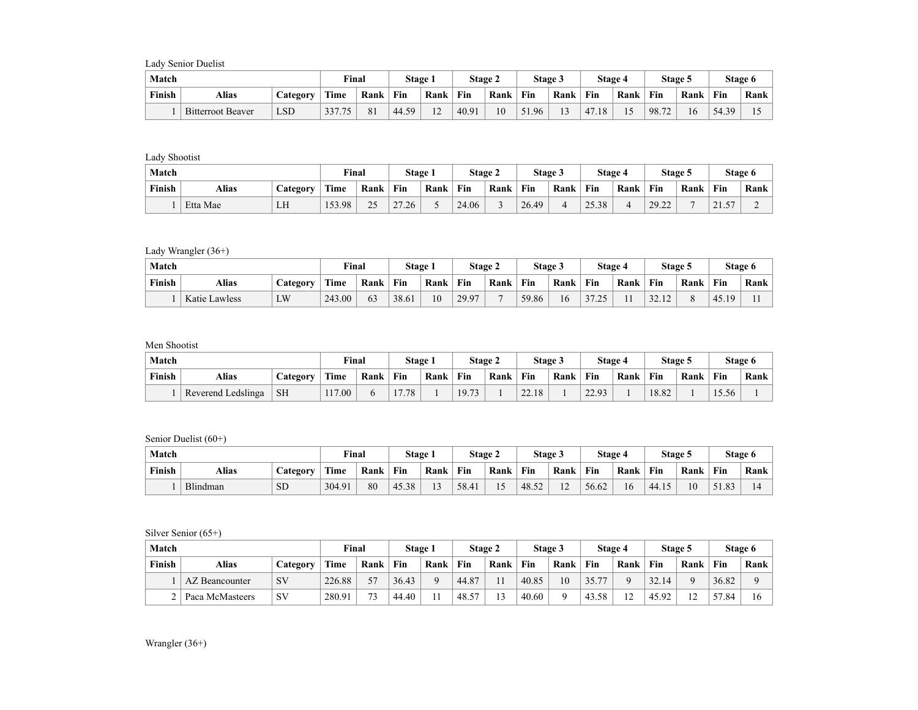Lady Senior Duelist

| Match  |                          |            | Final        |      | Stage 1     |                       | Stage 2 |      |       | Stage 3      | Stage 4 |      | Stage 5 |      |       | Stage 6 |
|--------|--------------------------|------------|--------------|------|-------------|-----------------------|---------|------|-------|--------------|---------|------|---------|------|-------|---------|
| Finish | Alias<br><b>lategory</b> |            | Time         | Rank | Fin         | Rank                  | Fin     | Rank | Fin   | Rank         | Fin     | Rank | Fin     | Rank | Fin   | Rank    |
|        | <b>Bitterroot Beaver</b> | <b>LSD</b> | 337.75<br>75 | 81   | 50<br>44.5. | 1 <sub>0</sub><br>L 4 | 40.91   | 10   | 51.96 | $\sim$<br>13 | 47.18   |      | 98.72   | 16   | 54.39 |         |

Lady Shootist

| Match  |                          |    | Final  |          |       | Stage 1 |       | Stage 2 |       | Stage 3 | Stage 4 |      |       | Stage 5 |                         | Stage 6 |
|--------|--------------------------|----|--------|----------|-------|---------|-------|---------|-------|---------|---------|------|-------|---------|-------------------------|---------|
| Finish | Alias<br><b>Category</b> |    | Time   | Rank     | Fin   | Rank    | Fin   | Rank    | Fin   | Rank    | Fin     | Rank | Fin   | Rank    | Fin                     | Rank    |
|        | Etta Mae                 | LH | 153.98 | $\gamma$ | 27.26 |         | 24.06 |         | 26.49 |         | 25.38   | д    | 29.22 |         | $\overline{C}$<br>2.1.7 | -       |

Lady Wrangler (36+)

| Match  |                          |    | Final  |      | Stage 1 |      |       | Stage 2 |       | <b>Stage 3</b> | Stage 4             |      | Stage 5        |      |            | Stage 6 |
|--------|--------------------------|----|--------|------|---------|------|-------|---------|-------|----------------|---------------------|------|----------------|------|------------|---------|
| Finish | Alias<br><b>Category</b> |    | Time   | Rank | Fin     | Rank | Fin   | Rank    | Fin   | Rank           | Fin                 | Rank | Fin            | Rank | Fin        | Rank    |
|        | Katie Lawless            | LW | 243.00 | 63   | 38.6    | 10   | 29.97 |         | 59.86 | 16             | 2725<br>◡<br>ت سه د |      | 22.12<br>32.12 |      | 45.1<br>19 |         |

Men Shootist

| Match  |                    |                 | Final |      |                                   | Stage 1 |       | Stage 2 |       | <b>Stage 3</b> |       | Stage 4 |       | <b>Stage 5</b> |       | Stage 6 |
|--------|--------------------|-----------------|-------|------|-----------------------------------|---------|-------|---------|-------|----------------|-------|---------|-------|----------------|-------|---------|
| Finish | Alias              | <b>Lategory</b> | Time  | Rank | Fin                               | Rank    | Fin   | Rank    | Fin   | Rank           | Fin   | Rank    | Fin   | Rank           | Fin   | Rank    |
|        | Reverend Ledslinga | <b>SH</b>       | 17.00 |      | $\overline{ }$<br>78 <sub>1</sub> |         | 19.73 |         | 22.18 |                | 22.93 |         | 18.82 |                | 15.56 |         |

Senior Duelist (60+)

| Match  |          |                 | Final  |      | Stage 1 |      | Stage 2 |      | Stage 3 |               | Stage 4 |      | Stage 5 |      | Stage 6 |      |
|--------|----------|-----------------|--------|------|---------|------|---------|------|---------|---------------|---------|------|---------|------|---------|------|
| Finish | Alias    | <b>lategory</b> | Time   | Rank | Fin     | Rank | Fin     | Rank | Fin     | Rank          | Fin     | Rank | Fin     | Rank | Fin     | Rank |
|        | Blindman | <b>SD</b>       | 304.91 | 80   | 45.38   |      | 58.41   |      | 48.52   | $\sim$<br>l 4 | 56.62   | 16   | 44.15   | 10   | 51.83   |      |

Silver Senior (65+)

| Match  |                 |           | Final  |      | Stage 1 |      | Stage 2 |      | Stage 3 |                | Stage 4       |              | <b>Stage 5</b> |      | Stage 6 |      |
|--------|-----------------|-----------|--------|------|---------|------|---------|------|---------|----------------|---------------|--------------|----------------|------|---------|------|
| Finish | Alias           | Category  | Time   | Rank | Fin     | Rank | Fin     | Rank | Fin     | Rank           | Fin           | Rank         | Fin            | Rank | Fin     | Rank |
|        | AZ Beancounter  | <b>SV</b> | 226.88 |      | 36.43   |      | 44.87   | 11   | 40.85   | $\overline{0}$ | $-$<br>$\sim$ |              | 32.14          |      | 36.82   |      |
|        | Paca McMasteers | SV        | 280.91 | 73   | 44.40   |      | .48.57  | 13   | 40.60   |                | 43.58         | $\mathbf{1}$ | 45.92          | ∸    | 57.84   |      |

Wrangler (36+)